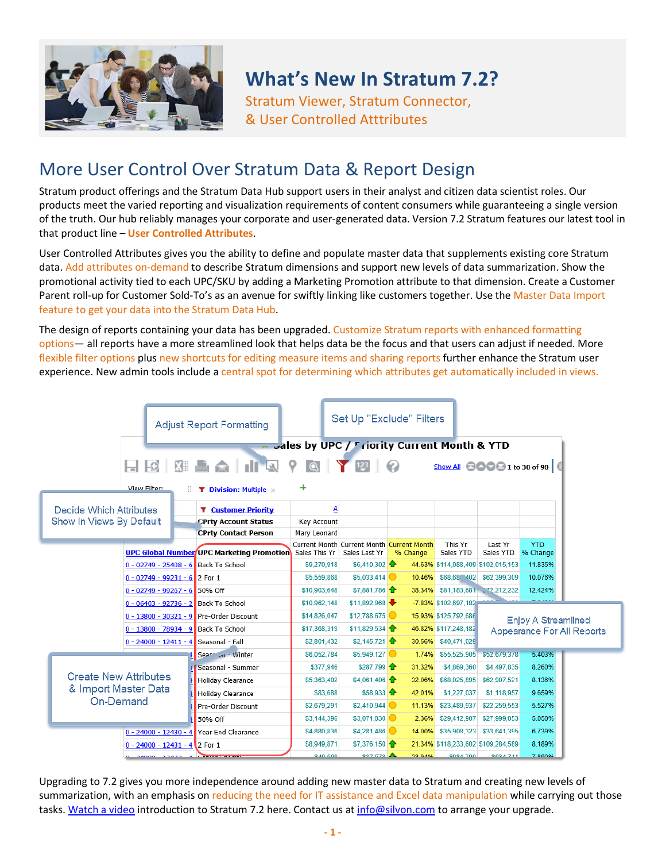

# **What's New In Stratum 7.2?**

Stratum Viewer, Stratum Connector, & User Controlled Atttributes

#### More User Control Over Stratum Data & Report Design

Stratum product offerings and the Stratum Data Hub support users in their analyst and citizen data scientist roles. Our products meet the varied reporting and visualization requirements of content consumers while guaranteeing a single version of the truth. Our hub reliably manages your corporate and user-generated data. Version 7.2 Stratum features our latest tool in that product line – **User Controlled Attributes**.

User Controlled Attributes gives you the ability to define and populate master data that supplements existing core Stratum data. Add attributes on-demand to describe Stratum dimensions and support new levels of data summarization. Show the promotional activity tied to each UPC/SKU by adding a Marketing Promotion attribute to that dimension. Create a Customer Parent roll-up for Customer Sold-To's as an avenue for swiftly linking like customers together. Use the Master Data Import feature to get your data into the Stratum Data Hub.

The design of reports containing your data has been upgraded. Customize Stratum reports with enhanced formatting options— all reports have a more streamlined look that helps data be the focus and that users can adjust if needed. More flexible filter options plus new shortcuts for editing measure items and sharing reports further enhance the Stratum user experience. New admin tools include a central spot for determining which attributes get automatically included in views.

|                                                      |                                                                               |    | <b>Adjust Report Formatting</b>                                                            |                                                                            | Set Up "Exclude" Filters              |                  |                                                                       |                              |                                                                    |  |
|------------------------------------------------------|-------------------------------------------------------------------------------|----|--------------------------------------------------------------------------------------------|----------------------------------------------------------------------------|---------------------------------------|------------------|-----------------------------------------------------------------------|------------------------------|--------------------------------------------------------------------|--|
|                                                      | $\Box$ $\odot$ $\Box$<br>View Filter:                                         |    | <b>BAIRY QY 12 0</b>                                                                       | a Jales by UPC / Friority Current Month & YTD<br>٠                         |                                       |                  |                                                                       |                              | Show All $\bigcirc$ $\bigcirc$ $\bigcirc$ $\bigcirc$ 1 to 30 of 90 |  |
| Decide Which Attributes<br>Show In Views By Default  |                                                                               | Ш. | <b>T</b> Division: Multiple x<br><b>T</b> Customer Priority<br><b>CPrty Account Status</b> | А<br>Key Account                                                           |                                       |                  |                                                                       |                              |                                                                    |  |
|                                                      |                                                                               |    | <b>CPrty Contact Person</b><br><b>UPC Global Number UPC Marketing Promotion</b>            | Mary Leonard<br>Current Month Current Month Current Month<br>Sales This Yr | Sales Last Yr                         | % Change         | This Yr<br>Sales YTD                                                  | Last Yr<br>Sales YTD         | <b>YTD</b><br>% Change                                             |  |
|                                                      | 0 - 02749 - 25408 - 6 Back To School<br>$0 - 02749 - 99231 - 6$ 2 For 1       |    |                                                                                            | \$9,270,918<br>\$5,559,868                                                 | \$6,410,302<br>\$5,033,414            |                  | 44.63% \$114,088,409 \$102,015,153<br>10.46% \$68,68 402 \$62,399,309 |                              | 11.835%<br>10.076%                                                 |  |
|                                                      | $0 - 02749 - 99267 - 6$ 50% Off                                               |    |                                                                                            | \$10,903,648                                                               | \$7,881,786                           |                  | 38.34% \$81,183,681 72,212,232                                        |                              | 12.424%                                                            |  |
|                                                      | 0 - 06403 - 92736 - 2 Back To School                                          |    | 0 - 13800 - 30321 - 9 Pre-Order Discount                                                   | \$10,962,148<br>\$14,826,047                                               | \$11.892.968<br>\$12,788,675          |                  | -7.83% \$102,697,182<br>15.93% \$125,792,686                          |                              | <b>Enjoy A Streamlined</b>                                         |  |
|                                                      | 0 - 13800 - 78934 - 9 Back To School<br>0 - 24000 - 12411 - 4 Seasonal - Fall |    |                                                                                            | \$17,368,319<br>\$2.801.432                                                | \$11,829,534<br>\$2.145.721           |                  | 46.82% \$117,248,182<br>30.56% \$40.471.029                           |                              | Appearance For All Reports                                         |  |
|                                                      |                                                                               |    | Seaco Jar - Winter<br><b>Seasonal - Summer</b>                                             | \$6,052,784<br>\$377,946                                                   | $$5,949,127$ $\odot$<br>\$287.799     | 31.32%           | 1.74% \$55,525,905<br>\$4,869,360                                     | \$52,679,378<br>\$4,497,835  | 5.403%<br>8.260%                                                   |  |
| <b>Create New Attributes</b><br>& Import Master Data |                                                                               |    | Holiday Clearance                                                                          | \$5,363,402<br>\$83,688                                                    | \$4,061,406<br>$$58,933$ <sup>1</sup> | 32.06%<br>42.01% | \$68,025,895<br>\$1,227,037                                           | \$62,907,521<br>\$1,118,957  | 8.136%<br>9.659%                                                   |  |
| <b>On-Demand</b>                                     |                                                                               |    | Holiday Clearance<br>Pre-Order Discount                                                    | \$2,679,291                                                                | $$2,410,944$ $\odot$                  | 11.13%           | \$23,489,937                                                          | \$22,259,553                 | 5.527%                                                             |  |
|                                                      |                                                                               |    | 50% Off<br>0 - 24000 - 12430 - 4 Year End Clearance                                        | \$3,144,396<br>\$4,880,836                                                 | \$3,071,830<br>\$4,281,486            | 2.36%<br>14.00%  | \$29,412,907<br>\$35,908,323                                          | \$27,999,053<br>\$33,641,395 | 5.050%<br>6.739%                                                   |  |
|                                                      | $0 - 24000 - 12431 - 4$ 2 For 1<br><b>DADDD EDADD</b>                         |    | <b>All Processions</b>                                                                     | \$8,949,871<br>946,560                                                     | $$7.376.150$ $\rightarrow$<br>27572   | DOMO CC          | 21.34% \$118,233,602 \$109,284,589<br><b>005 k032</b>                 | <b>CG34 744</b>              | 8.189%<br>7 00004                                                  |  |

Upgrading to 7.2 gives you more independence around adding new master data to Stratum and creating new levels of summarization, with an emphasis on reducing the need for IT assistance and Excel data manipulation while carrying out those tasks[. Watch a video](https://www.silvon.com/silvon-video-page.php?v=Preview-of-the-Stratum-7.2) introduction to Stratum 7.2 here. Contact us a[t info@silvon.com](mailto:info@silvon.com) to arrange your upgrade.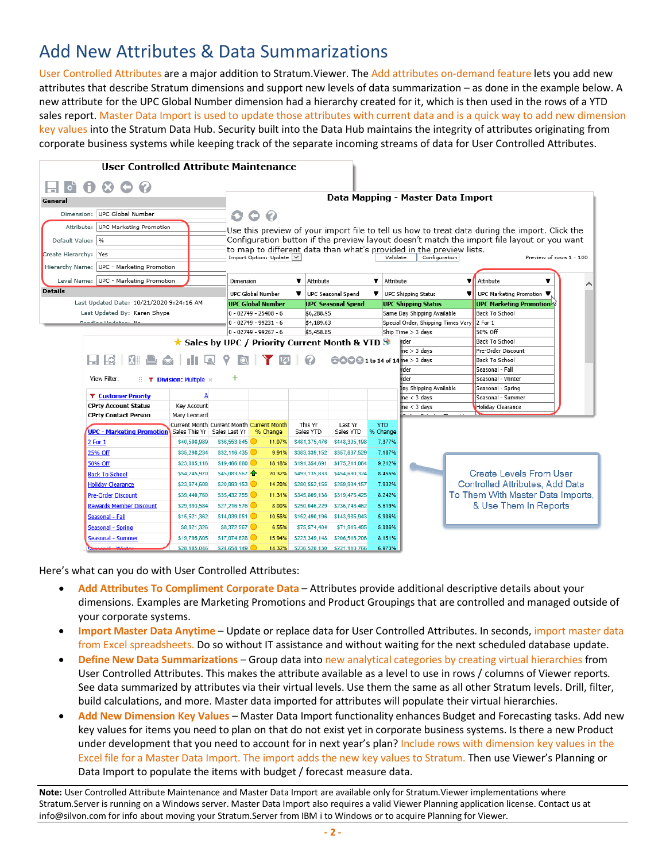## Add New Attributes & Data Summarizations

User Controlled Attributes are a major addition to Stratum.Viewer. The Add attributes on-demand feature lets you add new attributes that describe Stratum dimensions and support new levels of data summarization – as done in the example below. A new attribute for the UPC Global Number dimension had a hierarchy created for it, which is then used in the rows of a YTD sales report. Master Data Import is used to update those attributes with current data and is a quick way to add new dimension key values into the Stratum Data Hub. Security built into the Data Hub maintains the integrity of attributes originating from corporate business systems while keeping track of the separate incoming streams of data for User Controlled Attributes.

|                       | <b>User Controlled Attribute Maintenance</b> |                                                   |                                           |                           |                      |                                                  |            |                                      |                                                                     |                                                                                                |                         |
|-----------------------|----------------------------------------------|---------------------------------------------------|-------------------------------------------|---------------------------|----------------------|--------------------------------------------------|------------|--------------------------------------|---------------------------------------------------------------------|------------------------------------------------------------------------------------------------|-------------------------|
|                       | • • • • •                                    |                                                   |                                           |                           |                      |                                                  |            |                                      |                                                                     |                                                                                                |                         |
| General               |                                              |                                                   |                                           |                           |                      |                                                  |            |                                      | Data Mapping - Master Data Import                                   |                                                                                                |                         |
|                       |                                              |                                                   |                                           |                           |                      |                                                  |            |                                      |                                                                     |                                                                                                |                         |
|                       | Dimension: UPC Global Number                 |                                                   | O                                         | O<br>$\bullet$            |                      |                                                  |            |                                      |                                                                     |                                                                                                |                         |
| Attribute:            | UPC Marketing Promotion                      |                                                   |                                           |                           |                      |                                                  |            |                                      |                                                                     | Use this preview of your import file to tell us how to treat data during the import. Click the |                         |
| Default Value:  %     |                                              |                                                   |                                           |                           |                      |                                                  |            |                                      |                                                                     | Configuration button if the preview layout doesn't match the import file layout or you want    |                         |
| Create Hierarchy: Yes |                                              |                                                   |                                           |                           |                      |                                                  |            |                                      | to map to different data than what's provided in the preview lists. |                                                                                                |                         |
| Hierarchy Name:       | UPC - Marketing Promotion                    |                                                   |                                           | Import Option: Update   v |                      |                                                  |            | Validate                             | Configuration                                                       |                                                                                                | Preview of rows 1 - 100 |
|                       |                                              |                                                   |                                           |                           |                      |                                                  |            |                                      |                                                                     |                                                                                                |                         |
|                       | Level Name: UPC - Marketing Promotion        |                                                   | Dimension                                 |                           | v<br>Attribute       |                                                  | ▼          | Attribute                            |                                                                     | Attribute                                                                                      |                         |
| <b>Details</b>        |                                              |                                                   |                                           | <b>UPC Global Number</b>  | v                    | UPC Seasonal Spend                               | v          | UPC Shipping Status                  |                                                                     | UPC Marketing Promotion                                                                        |                         |
|                       | Last Updated Date: 10/21/2020 9:24:16 AM     |                                                   |                                           | <b>UPC Global Number</b>  |                      | <b>UPC Seasonal Spend</b>                        |            | <b>UPC Shipping Status</b>           |                                                                     | <b>UPC Marketing Promotion</b>                                                                 |                         |
|                       | Last Updated By: Karen Shype                 |                                                   |                                           | $0 - 02749 - 25408 - 6$   | \$6,288.95           |                                                  |            | Same Day Shipping Available          |                                                                     | <b>Back To School</b>                                                                          |                         |
|                       | <b>Deputies Headabook</b> Ma                 |                                                   |                                           | $0 - 02749 - 99231 - 6$   | \$4,189.63           |                                                  |            |                                      | Special Order, Shipping Times Vary                                  | 2 For 1                                                                                        |                         |
|                       |                                              |                                                   |                                           | $0 - 02749 - 99267 - 6$   | \$5,458.85           |                                                  |            | Ship Time > 3 days                   |                                                                     | 50% Off                                                                                        |                         |
|                       |                                              |                                                   |                                           |                           |                      | ★ Sales by UPC / Priority Current Month & YTD St |            | <b>irder</b>                         |                                                                     | <b>Back To School</b>                                                                          |                         |
|                       |                                              |                                                   |                                           |                           |                      |                                                  |            | $me > 3$ davs                        |                                                                     | Pre-Order Discount                                                                             |                         |
|                       | l O                                          |                                                   | $\Delta$                                  |                           |                      |                                                  |            | <b>88891 to 14 of 14</b> me > 3 days |                                                                     | <b>Back To School</b>                                                                          |                         |
|                       |                                              |                                                   |                                           |                           |                      |                                                  |            | rder                                 |                                                                     | Seasonal - Fall                                                                                |                         |
|                       | View Filter:                                 | $\therefore$ <b>T</b> Division: Multiple $\times$ | +                                         |                           |                      |                                                  |            | rder                                 |                                                                     | Seasonal - Winter                                                                              |                         |
|                       |                                              |                                                   |                                           |                           |                      |                                                  |            | Jay Shipping Available               |                                                                     | Seasonal - Spring                                                                              |                         |
|                       | <b>T</b> Customer Priority                   |                                                   |                                           |                           |                      |                                                  |            | $me < 3$ days                        |                                                                     | Seasonal - Summer                                                                              |                         |
|                       | <b>CPrty Account Status</b>                  | Key Account                                       |                                           |                           |                      |                                                  |            | $me < 3$ days                        |                                                                     | <b>Holiday Clearance</b>                                                                       |                         |
|                       | <b>CPrty Contact Person</b>                  | Mary Leonard                                      |                                           |                           |                      |                                                  | <b>YTD</b> |                                      |                                                                     |                                                                                                |                         |
|                       | <b>UPC - Marketing Promotion</b>             | Sales This Yr Sales Last Yr                       | Current Month Current Month Current Month | % Change                  | This Yr<br>Sales YTD | Last Yr<br>Sales YTD                             | % Change   |                                      |                                                                     |                                                                                                |                         |
|                       | 2 For 1                                      | \$40,598,989                                      | \$36,553,845                              | 11.07%                    | \$481,375,476        | \$448,305,198                                    | 7.377%     |                                      |                                                                     |                                                                                                |                         |
|                       | 25% Off                                      | \$35,298,234                                      | \$32,116,435                              | 9.91%                     | \$383,339,152        | \$357,637,529                                    | 7.187%     |                                      |                                                                     |                                                                                                |                         |
|                       | 50% Off                                      | \$23,005,116                                      | \$19,466,660                              | 18.18%                    | \$191,354,691        | \$175,214,064                                    | 9.212%     |                                      |                                                                     |                                                                                                |                         |
|                       | <b>Back To School</b>                        | \$54,245,970                                      | \$45,083,567                              | 20.32%                    | \$493,135,833        | \$454,690,324                                    | 8.455%     |                                      |                                                                     | Create Levels From User                                                                        |                         |
|                       | <b>Holidav Clearance</b>                     | \$23,974,608                                      | \$20,993.153                              | 14.20%                    | \$280,552,155        | \$259,934,157                                    | 7.932%     |                                      |                                                                     | Controlled Attributes, Add Data                                                                |                         |
|                       | <b>Pre-Order Discount</b>                    | \$39,440,760                                      | \$35,432,755                              | 11.31%                    | \$345,809,138        | \$319,476,425                                    | 8.242%     |                                      |                                                                     | To Them With Master Data Imports,                                                              |                         |
|                       | <b>Rewards Member Discount</b>               | \$29,393,584                                      | \$27,216,576                              | 8.00%                     | \$250,046,229        | \$236,743,462                                    | 5.619%     |                                      |                                                                     | & Use Them In Reports                                                                          |                         |
|                       | Seasonal - Fall                              | \$15,521,362                                      | \$14,039,051                              | 10.56%                    | \$152,490,196        | \$143,985,943                                    | 5.906%     |                                      |                                                                     |                                                                                                |                         |
|                       | Seasonal - Spring                            | \$8,921,326                                       | \$8,372,567                               | 6.55%                     | \$75,574,404         | \$71,916,495                                     | 5.086%     |                                      |                                                                     |                                                                                                |                         |
|                       | <b>Seasonal - Summer</b>                     | \$19,795,805                                      | \$17,074,628                              | 15.94%                    | \$223,349,148        | \$206,516,206                                    | 8.151%     |                                      |                                                                     |                                                                                                |                         |
|                       | فستعمد كالر                                  | \$28.185.046                                      | \$24.654.149 C                            | 14.32%                    | \$236,528,130        | \$221.110.766                                    | 6.973%     |                                      |                                                                     |                                                                                                |                         |

Here's what can you do with User Controlled Attributes:

- **Add Attributes To Compliment Corporate Data**  Attributes provide additional descriptive details about your dimensions. Examples are Marketing Promotions and Product Groupings that are controlled and managed outside of your corporate systems.
- **Import Master Data Anytime**  Update or replace data for User Controlled Attributes. In seconds, import master data from Excel spreadsheets. Do so without IT assistance and without waiting for the next scheduled database update.
- **Define New Data Summarizations** Group data into new analytical categories by creating virtual hierarchies from User Controlled Attributes. This makes the attribute available as a level to use in rows / columns of Viewer reports. See data summarized by attributes via their virtual levels. Use them the same as all other Stratum levels. Drill, filter, build calculations, and more. Master data imported for attributes will populate their virtual hierarchies.
- **Add New Dimension Key Values**  Master Data Import functionality enhances Budget and Forecasting tasks. Add new key values for items you need to plan on that do not exist yet in corporate business systems. Is there a new Product under development that you need to account for in next year's plan? Include rows with dimension key values in the Excel file for a Master Data Import. The import adds the new key values to Stratum. Then use Viewer's Planning or Data Import to populate the items with budget / forecast measure data.

**Note:** User Controlled Attribute Maintenance and Master Data Import are available only for Stratum.Viewer implementations where Stratum.Server is running on a Windows server. Master Data Import also requires a valid Viewer Planning application license. Contact us at [info@silvon.com](mailto:info@silvon.com) for info about moving your Stratum.Server from IBM i to Windows or to acquire Planning for Viewer.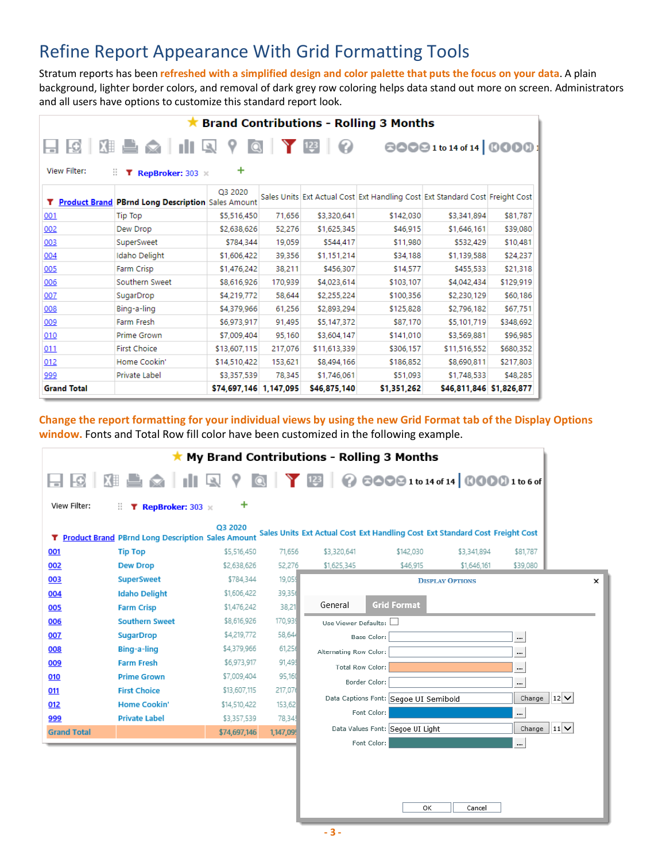### Refine Report Appearance With Grid Formatting Tools

Stratum reports has been **refreshed with a simplified design and color palette that puts the focus on your data**. A plain background, lighter border colors, and removal of dark grey row coloring helps data stand out more on screen. Administrators and all users have options to customize this standard report look.

|                    | <b>Brand Contributions - Rolling 3 Months</b>       |                              |         |              |                                                                              |                          |           |  |  |  |
|--------------------|-----------------------------------------------------|------------------------------|---------|--------------|------------------------------------------------------------------------------|--------------------------|-----------|--|--|--|
| View Filter:       | HGBBBCHIQ?<br>Н.<br><b>T</b> RepBroker: 303         | $\overline{\mathbf{Q}}$<br>+ |         |              |                                                                              | 80091to 14 of 14 0000    |           |  |  |  |
|                    | T Product Brand PBrnd Long Description Sales Amount | Q3 2020                      |         |              | Sales Units Ext Actual Cost Ext Handling Cost Ext Standard Cost Freight Cost |                          |           |  |  |  |
| <u>001</u>         | <b>Tip Top</b>                                      | \$5,516,450                  | 71,656  | \$3,320,641  | \$142,030                                                                    | \$3,341,894              | \$81,787  |  |  |  |
| 002                | Dew Drop                                            | \$2,638,626                  | 52,276  | \$1,625,345  | \$46,915                                                                     | \$1,646,161              | \$39,080  |  |  |  |
| 003                | SuperSweet                                          | \$784.344                    | 19,059  | \$544,417    | \$11,980                                                                     | \$532,429                | \$10,481  |  |  |  |
| 004                | Idaho Delight                                       | \$1,606,422                  | 39,356  | \$1,151,214  | \$34,188                                                                     | \$1,139,588              | \$24,237  |  |  |  |
| 005                | Farm Crisp                                          | \$1,476,242                  | 38,211  | \$456,307    | \$14,577                                                                     | \$455,533                | \$21,318  |  |  |  |
| 006                | Southern Sweet                                      | \$8,616,926                  | 170,939 | \$4,023,614  | \$103,107                                                                    | \$4,042,434              | \$129,919 |  |  |  |
| 007                | SugarDrop                                           | \$4,219,772                  | 58,644  | \$2,255,224  | \$100,356                                                                    | \$2,230,129              | \$60,186  |  |  |  |
| 008                | Bing-a-ling                                         | \$4,379,966                  | 61,256  | \$2,893,294  | \$125,828                                                                    | \$2,796,182              | \$67,751  |  |  |  |
| 009                | Farm Fresh                                          | \$6,973,917                  | 91,495  | \$5,147,372  | \$87,170                                                                     | \$5,101,719              | \$348,692 |  |  |  |
| 010                | Prime Grown                                         | \$7,009,404                  | 95,160  | \$3,604,147  | \$141,010                                                                    | \$3,569,881              | \$96,985  |  |  |  |
| 011                | <b>First Choice</b>                                 | \$13,607,115                 | 217,076 | \$11,613,339 | \$306,157                                                                    | \$11,516,552             | \$680,352 |  |  |  |
| 012                | Home Cookin'                                        | \$14,510,422                 | 153,621 | \$8,494,166  | \$186,852                                                                    | \$8,690,811              | \$217,803 |  |  |  |
| 999                | Private Label                                       | \$3,357,539                  | 78,345  | \$1,746,061  | \$51,093                                                                     | \$1,748,533              | \$48,285  |  |  |  |
| <b>Grand Total</b> |                                                     | \$74,697,146 1,147,095       |         | \$46,875,140 | \$1,351,262                                                                  | \$46,811,846 \$1,826,877 |           |  |  |  |

**Change the report formatting for your individual views by using the new Grid Format tab of the Display Options window.** Fonts and Total Row fill color have been customized in the following example.

|                    | *                                                        |              |          | My Brand Contributions - Rolling 3 Months                                    |                                       |                        |                       |   |
|--------------------|----------------------------------------------------------|--------------|----------|------------------------------------------------------------------------------|---------------------------------------|------------------------|-----------------------|---|
| $\Box$ $\Box$      | 图 ■ △   1   ■ ? ©   Y 23   @ 80091to14of14 00001to6of    |              |          |                                                                              |                                       |                        |                       |   |
| View Filter:       | T RepBroker: 303<br>н.                                   | ٠            |          |                                                                              |                                       |                        |                       |   |
| T.                 | <b>Product Brand PBrnd Long Description Sales Amount</b> | Q3 2020      |          | Sales Units Ext Actual Cost Ext Handling Cost Ext Standard Cost Freight Cost |                                       |                        |                       |   |
| 001                | <b>Tip Top</b>                                           | \$5,516,450  | 71,656   | \$3,320,641                                                                  | \$142,030                             | \$3,341,894            | \$81,787              |   |
| 002                | <b>Dew Drop</b>                                          | \$2,638,626  | 52,276   | \$1,625,345                                                                  | \$46.915                              | \$1,646.161            | \$39,080              |   |
| 003                | <b>SuperSweet</b>                                        | \$784,344    | 19,059   |                                                                              |                                       | <b>DISPLAY OPTIONS</b> |                       | x |
| 004                | <b>Idaho Delight</b>                                     | \$1,606,422  | 39,356   |                                                                              |                                       |                        |                       |   |
| 005                | <b>Farm Crisp</b>                                        | \$1,476,242  | 38,21    | General                                                                      | <b>Grid Format</b>                    |                        |                       |   |
| 006                | <b>Southern Sweet</b>                                    | \$8,616,926  | 170,939  | Use Viewer Defaults:                                                         |                                       |                        |                       |   |
| 007                | <b>SugarDrop</b>                                         | \$4,219,772  | 58,644   | Base Color:                                                                  |                                       |                        |                       |   |
| 008                | Bing-a-ling                                              | \$4,379,966  | 61,250   | Alternating Row Color:                                                       |                                       |                        |                       |   |
| 009                | <b>Farm Fresh</b>                                        | \$6,973,917  | 91,49    | <b>Total Row Color:</b>                                                      |                                       |                        | $\cdots$              |   |
| 010                | <b>Prime Grown</b>                                       | \$7,009,404  | 95,160   | Border Color:                                                                |                                       |                        |                       |   |
| 011                | <b>First Choice</b>                                      | \$13,607,115 | 217,076  |                                                                              |                                       |                        | $12$ $\vee$           |   |
| 012                | <b>Home Cookin'</b>                                      | \$14,510,422 | 153,62   |                                                                              | Data Captions Font: Segoe UI Semibold |                        | Change                |   |
| 999                | <b>Private Label</b>                                     | \$3,357,539  | 78,345   | Font Color:                                                                  |                                       |                        |                       |   |
| <b>Grand Total</b> |                                                          | \$74,697,146 | 1,147,09 |                                                                              | Data Values Font: Segoe UI Light      |                        | $11$ $\vee$<br>Change |   |
|                    |                                                          |              |          | Font Color:                                                                  |                                       |                        | $\ddotsc$             |   |
|                    |                                                          |              |          |                                                                              |                                       |                        |                       |   |
|                    |                                                          |              |          |                                                                              |                                       |                        |                       |   |
|                    |                                                          |              |          |                                                                              |                                       |                        |                       |   |
|                    |                                                          |              |          |                                                                              | nv.                                   | Cancel                 |                       |   |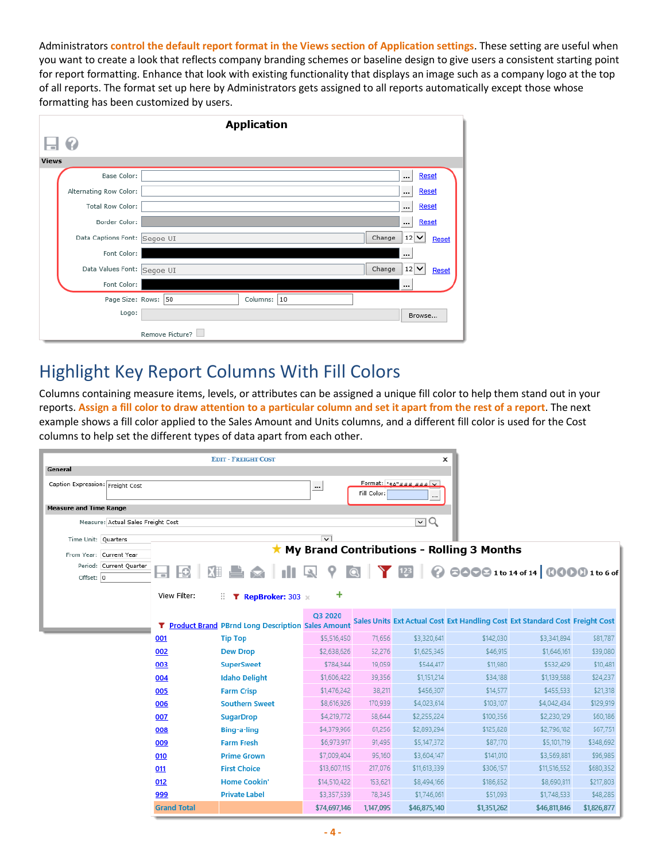Administrators **control the default report format in the Views section of Application settings**. These setting are useful when you want to create a look that reflects company branding schemes or baseline design to give users a consistent starting point for report formatting. Enhance that look with existing functionality that displays an image such as a company logo at the top of all reports. The format set up here by Administrators gets assigned to all reports automatically except those whose formatting has been customized by users.

|                              | <b>Application</b>             |
|------------------------------|--------------------------------|
| Q                            |                                |
| <b>Views</b>                 |                                |
| Base Color:                  | <br><b>Reset</b>               |
| Alternating Row Color:       | Reset<br>$\ddotsc$             |
| Total Row Color:             | <br><b>Reset</b>               |
| Border Color:                | Reset<br>$\cdots$              |
| Data Captions Font: Segoe UI | Change<br>$12$ $\vee$<br>Reset |
| Font Color:                  |                                |
| Data Values Font: Segoe UI   | Change<br>$12$ $\vee$<br>Reset |
| Font Color:                  | $\cdots$                       |
| Page Size: Rows: 50          | Columns: 10                    |
| Logo:                        | Browse                         |
| Remove Picture?              |                                |

#### Highlight Key Report Columns With Fill Colors

Columns containing measure items, levels, or attributes can be assigned a unique fill color to help them stand out in your reports. **Assign a fill color to draw attention to a particular column and set it apart from the rest of a report**. The next example shows a fill color applied to the Sales Amount and Units columns, and a different fill color is used for the Cost columns to help set the different types of data apart from each other.

|                                    |                    | <b>EDIT - FREIGHT COST</b>                                 |                         |             | $\boldsymbol{\mathsf{x}}$                     |                                                   |                                                                              |             |
|------------------------------------|--------------------|------------------------------------------------------------|-------------------------|-------------|-----------------------------------------------|---------------------------------------------------|------------------------------------------------------------------------------|-------------|
| General                            |                    |                                                            |                         |             |                                               |                                                   |                                                                              |             |
| Caption Expression: Freight Cost   |                    |                                                            | $\cdots$                | Fill Color: | Format: " $\epsilon_4$ "### ### v<br>$\cdots$ |                                                   |                                                                              |             |
| <b>Measure and Time Range</b>      |                    |                                                            |                         |             |                                               |                                                   |                                                                              |             |
| Measure: Actual Sales Freight Cost |                    |                                                            |                         |             | $\lnot \lnot \lnot \lnot$                     |                                                   |                                                                              |             |
| Time Unit: Quarters                |                    |                                                            | $\overline{\mathbf{v}}$ |             |                                               |                                                   |                                                                              |             |
| From Year: Current Year            |                    |                                                            |                         |             |                                               | $\star$ My Brand Contributions - Rolling 3 Months |                                                                              |             |
| Period: Current Quarter            |                    |                                                            |                         |             |                                               |                                                   |                                                                              |             |
| Offset: 0                          |                    |                                                            |                         |             |                                               |                                                   |                                                                              |             |
|                                    | View Filter:       | н.                                                         | ÷                       |             |                                               |                                                   |                                                                              |             |
|                                    |                    | <b>T</b> RepBroker: 303                                    |                         |             |                                               |                                                   |                                                                              |             |
|                                    |                    |                                                            | Q3 2020                 |             |                                               |                                                   | Sales Units Ext Actual Cost Ext Handling Cost Ext Standard Cost Freight Cost |             |
|                                    |                    | <b>T</b> Product Brand PBrnd Long Description Sales Amount |                         |             |                                               |                                                   |                                                                              |             |
|                                    | 001                | <b>Tip Top</b>                                             | \$5,516,450             | 71,656      | \$3,320,641                                   | \$142,030                                         | \$3,341,894                                                                  | \$81,787    |
|                                    | 002                | <b>Dew Drop</b>                                            | \$2,638,626             | 52,276      | \$1,625,345                                   | \$46.915                                          | \$1,646,161                                                                  | \$39,080    |
|                                    | 003                | <b>SuperSweet</b>                                          | \$784,344               | 19,059      | \$544,417                                     | \$11,980                                          | \$532,429                                                                    | \$10,481    |
|                                    | 004                | <b>Idaho Delight</b>                                       | \$1,606,422             | 39.356      | \$1,151,214                                   | \$34,188                                          | \$1,139,588                                                                  | \$24,237    |
|                                    | 005                | <b>Farm Crisp</b>                                          | \$1,476,242             | 38,211      | \$456,307                                     | \$14,577                                          | \$455,533                                                                    | \$21,318    |
|                                    | 006                | <b>Southern Sweet</b>                                      | \$8,616,926             | 170,939     | \$4,023,614                                   | \$103,107                                         | \$4,042,434                                                                  | \$129,919   |
|                                    | 007                | <b>SugarDrop</b>                                           | \$4,219,772             | 58,644      | \$2,255,224                                   | \$100,356                                         | \$2,230,129                                                                  | \$60,186    |
|                                    | 008                | Bing-a-ling                                                | \$4,379,966             | 61,256      | \$2,893,294                                   | \$125,828                                         | \$2,796,182                                                                  | \$67,751    |
|                                    | 009                | <b>Farm Fresh</b>                                          | \$6,973,917             | 91,495      | \$5,147,372                                   | \$87,170                                          | \$5,101,719                                                                  | \$348,692   |
|                                    | 010                | <b>Prime Grown</b>                                         | \$7,009,404             | 95,160      | \$3,604,147                                   | \$141,010                                         | \$3,569,881                                                                  | \$96,985    |
|                                    | 011                | <b>First Choice</b>                                        | \$13,607,115            | 217,076     | \$11,613,339                                  | \$306,157                                         | \$11,516,552                                                                 | \$680,352   |
|                                    | 012                | <b>Home Cookin'</b>                                        | \$14,510,422            | 153,621     | \$8,494,166                                   | \$186,852                                         | \$8,690,811                                                                  | \$217,803   |
|                                    | 999                | <b>Private Label</b>                                       | \$3,357,539             | 78,345      | \$1,746,061                                   | \$51,093                                          | \$1,748,533                                                                  | \$48,285    |
|                                    | <b>Grand Total</b> |                                                            | \$74,697,146            | 1,147,095   | \$46,875,140                                  | \$1,351,262                                       | \$46,811,846                                                                 | \$1,826,877 |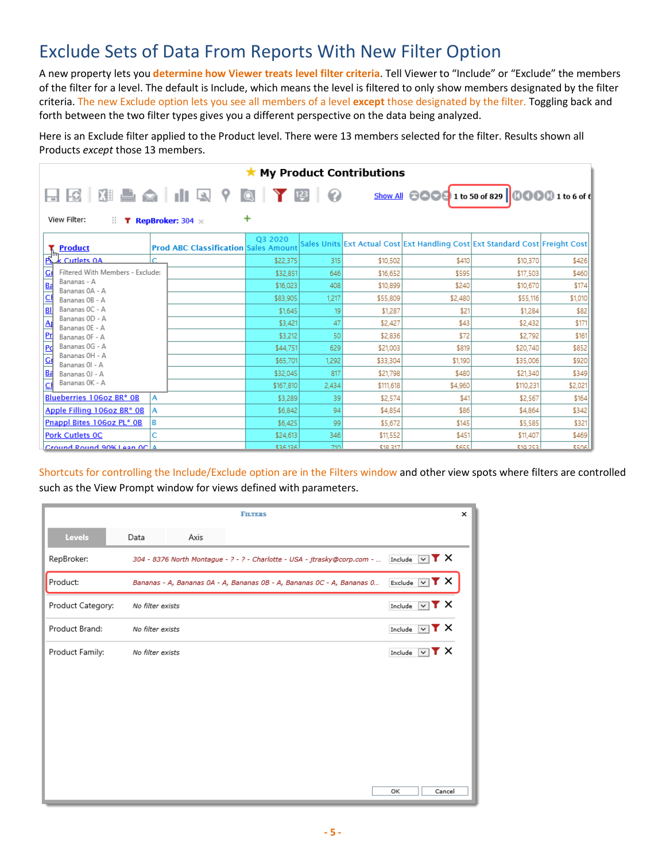## Exclude Sets of Data From Reports With New Filter Option

A new property lets you **determine how Viewer treats level filter criteria**. Tell Viewer to "Include" or "Exclude" the members of the filter for a level. The default is Include, which means the level is filtered to only show members designated by the filter criteria. The new Exclude option lets you see all members of a level **except** those designated by the filter. Toggling back and forth between the two filter types gives you a different perspective on the data being analyzed.

Here is an Exclude filter applied to the Product level. There were 13 members selected for the filter. Results shown all Products *except* those 13 members.

| <b>My Product Contributions</b>                                         |                                             |           |       |           |             |                                                                              |              |  |  |
|-------------------------------------------------------------------------|---------------------------------------------|-----------|-------|-----------|-------------|------------------------------------------------------------------------------|--------------|--|--|
| View Filter:<br>Н.                                                      | <b>T</b> RepBroker: 304                     | +         |       |           |             | Show All <b>COOC</b> 1 to 50 of 829 <b>COOO</b> 1 to 6 of 6                  |              |  |  |
| <b>Product</b>                                                          | <b>Prod ABC Classification Sales Amount</b> | Q3 2020   |       |           |             | Sales Units Ext Actual Cost Ext Handling Cost Ext Standard Cost Freight Cost |              |  |  |
| k Cutlets 0A                                                            | c                                           | \$22,375  | 315   | \$10,502  | \$410       | \$10,370                                                                     | \$426        |  |  |
| Filtered With Members - Exclude:<br>G                                   |                                             | \$32,851  | 646   | \$16,652  | \$595       | \$17,503                                                                     | \$460        |  |  |
| Bananas - A<br>Ba<br>Bananas 0A - A                                     |                                             | \$16,023  | 408   | \$10,899  | \$240       | \$10,670                                                                     | \$174        |  |  |
| $\overline{\mathsf{C}}$<br>Bananas OB - A                               |                                             | \$83,905  | 1.217 | \$55,809  | \$2,480     | \$55,116                                                                     | \$1,010      |  |  |
| Bananas OC - A<br>BI                                                    |                                             | \$1,645   | 19    | \$1,287   | \$21        | \$1,284                                                                      | \$82         |  |  |
| Bananas OD - A<br>$\Delta$<br>Bananas OE - A                            |                                             | \$3,421   | 47    | \$2,427   | \$43        | \$2,432                                                                      | \$171        |  |  |
| 凹<br>Bananas OF - A                                                     |                                             | \$3,212   | 50    | \$2,836   | \$72        | \$2,792                                                                      | \$161        |  |  |
| Bananas OG - A<br>Pd                                                    |                                             | \$44,751  | 629   | \$21,003  | \$819       | \$20,740                                                                     | \$852        |  |  |
| Bananas OH - A<br>$\overline{\underline{\mathsf{G}}}$<br>Bananas OI - A |                                             | \$65,701  | 1.292 | \$33,304  | \$1,190     | \$35,006                                                                     | \$920        |  |  |
| Ba<br>Bananas 0J - A                                                    |                                             | \$32,045  | 817   | \$21,798  | \$480       | \$21,340                                                                     | \$349        |  |  |
| Bananas OK - A<br>сI                                                    |                                             | \$167,810 | 2,434 | \$111,618 | \$4,960     | \$110,231                                                                    | \$2,021      |  |  |
| Blueberries 106oz BR* 0B                                                | Α                                           | \$3,289   | 39    | \$2,574   | \$41        | \$2,567                                                                      | \$164        |  |  |
| Apple Filling 106oz BR* 0B<br>۱A                                        |                                             | \$6,842   | 94    | \$4,854   | \$86        | \$4,864                                                                      | \$342        |  |  |
| Pnappl Bites 106oz PL* 0B<br>ΙB                                         |                                             | \$6,425   | 99    | \$5,672   | \$145       | \$5,585                                                                      | \$321        |  |  |
| <b>Pork Cutlets OC</b>                                                  | Ċ                                           | \$24,613  | 346   | \$11,552  | \$451       | \$11,407                                                                     | \$469        |  |  |
| Cround Round 90% Lean OC 4                                              |                                             | \$26,126  | 710   | €18, 217  | <b>CASS</b> | <b>€10.252</b>                                                               | <b>ESORI</b> |  |  |

Shortcuts for controlling the Include/Exclude option are in the Filters window and other view spots where filters are controlled such as the View Prompt window for views defined with parameters.

|                   |                  |      | <b>FILTERS</b>                                                           |                                    |        | × |
|-------------------|------------------|------|--------------------------------------------------------------------------|------------------------------------|--------|---|
| Levels            | Data             | Axis |                                                                          |                                    |        |   |
| RepBroker:        |                  |      | 304 - 8376 North Montague - ? - ? - Charlotte - USA - jtrasky@corp.com - | Include<br>$\overline{\mathbf{v}}$ | TХ     |   |
| Product:          |                  |      | Bananas - A, Bananas 0A - A, Bananas 0B - A, Bananas 0C - A, Bananas 0   | Exclude<br>$\vee$                  | rх     |   |
| Product Category: | No filter exists |      |                                                                          | Include<br>$\checkmark$            | TХ     |   |
| Product Brand:    | No filter exists |      |                                                                          | Include<br>$\checkmark$            | r x    |   |
| Product Family:   | No filter exists |      |                                                                          | Include<br>$\checkmark$            | r x    |   |
|                   |                  |      |                                                                          |                                    |        |   |
|                   |                  |      |                                                                          |                                    |        |   |
|                   |                  |      |                                                                          |                                    |        |   |
|                   |                  |      |                                                                          |                                    |        |   |
|                   |                  |      |                                                                          |                                    |        |   |
|                   |                  |      |                                                                          | OK                                 | Cancel |   |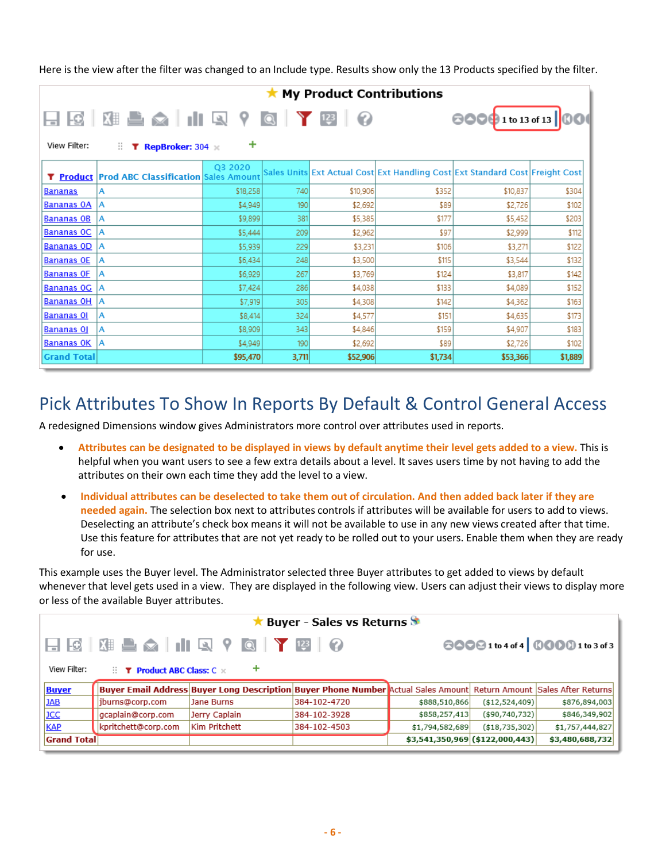Here is the view after the filter was changed to an Include type. Results show only the 13 Products specified by the filter.

|                    |                                                |          |       |                        | <b>My Product Contributions</b> |                                                                              |         |
|--------------------|------------------------------------------------|----------|-------|------------------------|---------------------------------|------------------------------------------------------------------------------|---------|
| View Filter:       | Ш.<br><b>T</b> RepBroker: $304 \times$         | ٠        |       | $1 \tbinom{123}{ } 12$ |                                 | <b>800</b> 9 1 to 13 of 13 00                                                |         |
|                    | T Product Prod ABC Classification Sales Amount | Q3 2020  |       |                        |                                 | Sales Units Ext Actual Cost Ext Handling Cost Ext Standard Cost Freight Cost |         |
| <b>Bananas</b>     | А                                              | \$18,258 | 740   | \$10,906               | \$352                           | \$10,837                                                                     | \$304   |
| <b>Bananas OA</b>  | ۱A                                             | \$4,949  | 190   | \$2,692                | \$89                            | \$2,726                                                                      | \$102   |
| <b>Bananas OB</b>  | А                                              | \$9,899  | 381   | \$5,385                | \$177                           | \$5,452                                                                      | \$203   |
| <b>Bananas OC</b>  | А                                              | \$5,444  | 209   | \$2,962                | \$97                            | \$2,999                                                                      | \$112   |
| <b>Bananas OD</b>  | ۱A                                             | \$5,939  | 229   | \$3,231                | \$106                           | \$3,271                                                                      | \$122   |
| <b>Bananas OE</b>  | А                                              | \$6,434  | 248   | \$3,500                | \$115                           | \$3,544                                                                      | \$132   |
| <b>Bananas OF</b>  | А                                              | \$6,929  | 267   | \$3,769                | \$124                           | \$3,817                                                                      | \$142   |
| <b>Bananas OG</b>  | ۱A                                             | \$7,424  | 286   | \$4,038                | \$133                           | \$4,089                                                                      | \$152   |
| <b>Bananas OH</b>  | ۱A                                             | \$7,919  | 305   | \$4,308                | \$142                           | \$4,362                                                                      | \$163   |
| <b>Bananas OI</b>  | А                                              | \$8,414  | 324   | \$4,577                | \$151                           | \$4,635                                                                      | \$173   |
| <b>Bananas OJ</b>  | А                                              | \$8,909  | 343   | \$4,846                | \$159                           | \$4,907                                                                      | \$183   |
| <b>Bananas OK</b>  | ۱A                                             | \$4,949  | 190   | \$2,692                | \$89                            | \$2,726                                                                      | \$102   |
| <b>Grand Total</b> |                                                | \$95,470 | 3,711 | \$52,906               | \$1,734                         | \$53,366                                                                     | \$1,889 |

#### Pick Attributes To Show In Reports By Default & Control General Access

A redesigned Dimensions window gives Administrators more control over attributes used in reports.

- **Attributes can be designated to be displayed in views by default anytime their level gets added to a view.** This is helpful when you want users to see a few extra details about a level. It saves users time by not having to add the attributes on their own each time they add the level to a view.
- **Individual attributes can be deselected to take them out of circulation. And then added back later if they are needed again.** The selection box next to attributes controls if attributes will be available for users to add to views. Deselecting an attribute's check box means it will not be available to use in any new views created after that time. Use this feature for attributes that are not yet ready to be rolled out to your users. Enable them when they are ready for use.

This example uses the Buyer level. The Administrator selected three Buyer attributes to get added to views by default whenever that level gets used in a view. They are displayed in the following view. Users can adjust their views to display more or less of the available Buyer attributes.

|                    | <b>Example 1 Series Serves</b> Serves Serves Serves Serves Serves Serves Serves Serves Serves Serves Serves |                                                                                                                     |              |                 |                                 |                 |  |  |  |  |  |
|--------------------|-------------------------------------------------------------------------------------------------------------|---------------------------------------------------------------------------------------------------------------------|--------------|-----------------|---------------------------------|-----------------|--|--|--|--|--|
|                    | 80091to4of4 00001to3of3                                                                                     |                                                                                                                     |              |                 |                                 |                 |  |  |  |  |  |
| View Filter:       | ٠<br>$\therefore$ <b>T</b> Product ABC Class: $C \times$                                                    |                                                                                                                     |              |                 |                                 |                 |  |  |  |  |  |
| <b>Buyer</b>       |                                                                                                             | Buyer Email Address Buyer Long Description Buyer Phone Number Actual Sales Amount Return Amount Sales After Returns |              |                 |                                 |                 |  |  |  |  |  |
| <b>JAB</b>         | jburns@corp.com                                                                                             | Jane Burns                                                                                                          | 384-102-4720 | \$888,510,866   | ( \$12,524,409)                 | \$876,894,003   |  |  |  |  |  |
| <b>JCC</b>         | gcaplain@corp.com                                                                                           | Jerry Caplain                                                                                                       | 384-102-3928 | \$858,257,413   | (\$90,740,732)                  | \$846,349,902   |  |  |  |  |  |
| <b>KAP</b>         | kpritchett@corp.com                                                                                         | Kim Pritchett                                                                                                       | 384-102-4503 | \$1,794,582,689 | ( \$18,735,302)                 | \$1,757,444,827 |  |  |  |  |  |
| <b>Grand Total</b> |                                                                                                             |                                                                                                                     |              |                 | \$3,541,350,969 (\$122,000,443) | \$3,480,688,732 |  |  |  |  |  |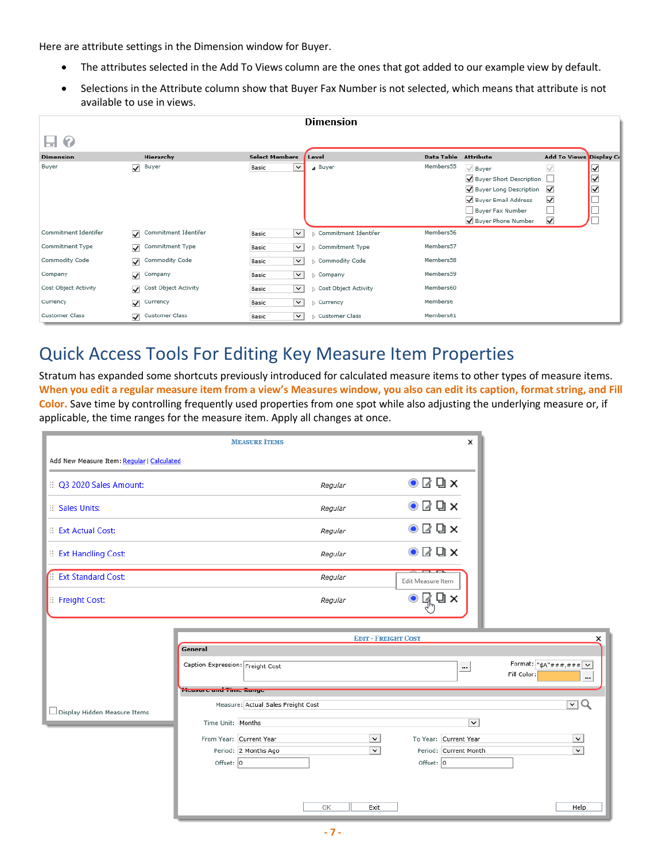Here are attribute settings in the Dimension window for Buyer.

- The attributes selected in the Add To Views column are the ones that got added to our example view by default.
- Selections in the Attribute column show that Buyer Fax Number is not selected, which means that attribute is not available to use in views.

|                      |                                      |                       | <b>Dimension</b>     |                      |                         |                         |                      |
|----------------------|--------------------------------------|-----------------------|----------------------|----------------------|-------------------------|-------------------------|----------------------|
| €<br>⊟               |                                      |                       |                      |                      |                         |                         |                      |
| <b>Dimension</b>     | Hierarchy                            | <b>Select Members</b> | Level                | Data Table Attribute |                         | Add To Views Display Co |                      |
| Buyer                | $\sqrt{\phantom{a}}$ Buyer           | Basic<br>$\check{~}$  | ⊿ Buyer              | Members55            | $\sqrt{}$ Buyer         | $\checkmark$            | $\blacktriangledown$ |
|                      |                                      |                       |                      |                      | Buyer Short Description |                         | ☑                    |
|                      |                                      |                       |                      |                      | Buyer Long Description  | $\checkmark$            | ⊽                    |
|                      |                                      |                       |                      |                      | Buyer Email Address     | ✓                       |                      |
|                      |                                      |                       |                      |                      | Buyer Fax Number        |                         |                      |
|                      |                                      |                       |                      |                      | Buyer Phone Number      | $\checkmark$            |                      |
| Commitment Identifer | Commitment Identifer<br>⊽            | $\check{~}$<br>Basic  | Commitment Identifer | Members56            |                         |                         |                      |
| Commitment Type      | Commitment Type<br>$\checkmark$      | $\check{~}$<br>Basic  | Commitment Type      | Members57            |                         |                         |                      |
| Commodity Code       | Commodity Code<br>$\checkmark$       | $\check{~}$<br>Basic  | Commodity Code       | Members58            |                         |                         |                      |
| Company              | $\checkmark$<br>Company              | $\check{~}$<br>Basic  | Company              | Members59            |                         |                         |                      |
| Cost Object Activity | Cost Object Activity<br>$\checkmark$ | $\check{~}$<br>Basic  | Cost Object Activity | Members60            |                         |                         |                      |
| Currency             | $\checkmark$<br>Currency             | $\check{~}$<br>Basic  | Currency             | Members6             |                         |                         |                      |
| Customer Class       | Customer Class<br>$\checkmark$       | $\check{~}$<br>Basic  | Customer Class       | Members61            |                         |                         |                      |

#### Quick Access Tools For Editing Key Measure Item Properties

Stratum has expanded some shortcuts previously introduced for calculated measure items to other types of measure items. **When you edit a regular measure item from a view's Measures window, you also can edit its caption, format string, and Fill Color.** Save time by controlling frequently used properties from one spot while also adjusting the underlying measure or, if applicable, the time ranges for the measure item. Apply all changes at once.

|                                            | <b>MEASURE ITEMS</b>               |                            | ×                                   |                                                                                                                                                                                                                                                                                                                                  |
|--------------------------------------------|------------------------------------|----------------------------|-------------------------------------|----------------------------------------------------------------------------------------------------------------------------------------------------------------------------------------------------------------------------------------------------------------------------------------------------------------------------------|
| Add New Measure Item: Regular   Calculated |                                    |                            |                                     |                                                                                                                                                                                                                                                                                                                                  |
| :: Q3 2020 Sales Amount:                   |                                    | Regular                    | $\odot$ $\boxtimes$ $\Box$ $\times$ |                                                                                                                                                                                                                                                                                                                                  |
| <b>Sales Units:</b>                        |                                    | Regular                    | $\odot$ $\boxtimes$ Q $\times$      |                                                                                                                                                                                                                                                                                                                                  |
| Ext Actual Cost:                           |                                    | Regular                    | $\odot$ $\Box$ $\Box$ $\times$      |                                                                                                                                                                                                                                                                                                                                  |
| Ext Handling Cost:                         |                                    | Regular                    | $\odot$ $\boxtimes$ Q $\times$      |                                                                                                                                                                                                                                                                                                                                  |
| <b>Ext Standard Cost:</b>                  |                                    | Regular                    | Edit Measure Item                   |                                                                                                                                                                                                                                                                                                                                  |
| <b>E</b> Freight Cost:                     |                                    | Regular                    | Q ×                                 |                                                                                                                                                                                                                                                                                                                                  |
|                                            |                                    |                            |                                     |                                                                                                                                                                                                                                                                                                                                  |
|                                            | General                            | <b>EDIT - FREIGHT COST</b> |                                     | ×                                                                                                                                                                                                                                                                                                                                |
|                                            | Caption Expression: Freight Cost   |                            | $\cdots$                            | Format: $\frac{1}{5}$ + $\frac{1}{4}$ + $\frac{1}{4}$ + $\frac{1}{4}$ + $\frac{1}{4}$ $\frac{1}{4}$ + $\frac{1}{4}$ + $\frac{1}{4}$ + $\frac{1}{4}$ + $\frac{1}{4}$ + $\frac{1}{4}$ + $\frac{1}{4}$ + $\frac{1}{4}$ + $\frac{1}{4}$ + $\frac{1}{4}$ + $\frac{1}{4}$ + $\frac{1}{4}$ + $\frac{1}{4}$ +<br>Fill Color:<br>$\cdots$ |
|                                            | <b>Measure and Time Range</b>      |                            |                                     |                                                                                                                                                                                                                                                                                                                                  |
| Display Hidden Measure Items               | Measure: Actual Sales Freight Cost |                            |                                     | $\lnot Q$                                                                                                                                                                                                                                                                                                                        |
|                                            | Time Unit: Months                  |                            | $\vert \mathbf{v} \vert$            |                                                                                                                                                                                                                                                                                                                                  |
|                                            | From Year: Current Year            | $\check{~}$                | To Year: Current Year               | $\checkmark$                                                                                                                                                                                                                                                                                                                     |
|                                            | Period: 2 Months Ago               | $\checkmark$               | Period: Current Month               | $\check{~}$                                                                                                                                                                                                                                                                                                                      |
|                                            | Offset: 0                          |                            | Offset: $ 0 $                       |                                                                                                                                                                                                                                                                                                                                  |
|                                            |                                    |                            |                                     |                                                                                                                                                                                                                                                                                                                                  |
|                                            |                                    | OK<br>Exit                 |                                     | Help                                                                                                                                                                                                                                                                                                                             |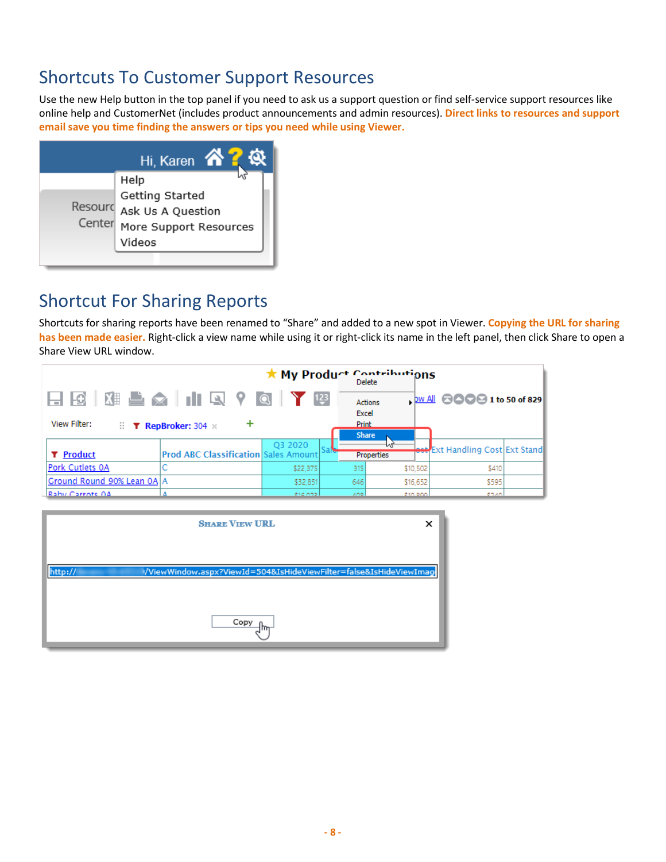## Shortcuts To Customer Support Resources

Use the new Help button in the top panel if you need to ask us a support question or find self-service support resources like online help and CustomerNet (includes product announcements and admin resources). **Direct links to resources and support email save you time finding the answers or tips you need while using Viewer.**



## Shortcut For Sharing Reports

Shortcuts for sharing reports have been renamed to "Share" and added to a new spot in Viewer. **Copying the URL for sharing has been made easier.** Right-click a view name while using it or right-click its name in the left panel, then click Share to open a Share View URL window.

| ★ My Product Contributions                                    |                                                   |          |              |                |                                        |  |
|---------------------------------------------------------------|---------------------------------------------------|----------|--------------|----------------|----------------------------------------|--|
|                                                               |                                                   |          | 123<br>Excel | <b>Actions</b> | bw All <b>8000</b> 1 to 50 of 829      |  |
| View Filter:<br>$\mathbb{R}$ <b>T</b> RepBroker: 304 $\times$ |                                                   |          | <b>Print</b> |                |                                        |  |
|                                                               |                                                   |          |              | <b>Share</b>   |                                        |  |
|                                                               |                                                   | O3 2020  |              |                | <b>est</b> Ext Handling Cost Ext Stand |  |
| <b>T</b> Product                                              | <b>Prod ABC Classification Sales Amount Sales</b> |          |              | Properties     |                                        |  |
| Pork Cutlets 0A                                               |                                                   | \$22,375 | 315          | \$10,502       | \$410                                  |  |
| Ground Round 90% Lean 0A A                                    |                                                   | \$32,851 | 646          | \$16,652       | \$595                                  |  |
| Rahy Carrote 04                                               |                                                   | 014.022  | AOR.         | 0.10000        | 0740                                   |  |